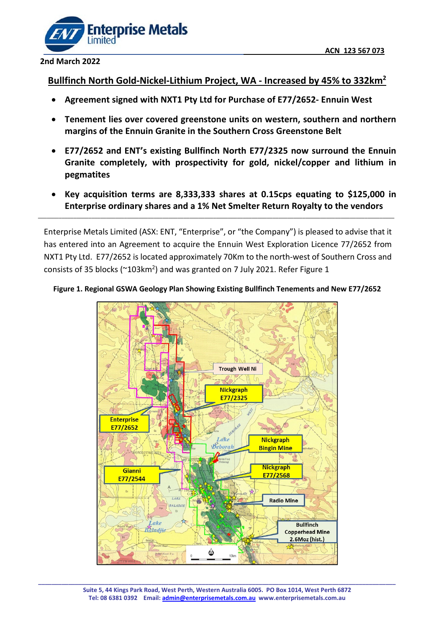

#### **2nd March 2022**

### **Bullfinch North Gold-Nickel-Lithium Project, WA - Increased by 45% to 332km2**

- **Agreement signed with NXT1 Pty Ltd for Purchase of E77/2652- Ennuin West**
- **Tenement lies over covered greenstone units on western, southern and northern margins of the Ennuin Granite in the Southern Cross Greenstone Belt**
- **E77/2652 and ENT's existing Bullfinch North E77/2325 now surround the Ennuin Granite completely, with prospectivity for gold, nickel/copper and lithium in pegmatites**
- **Key acquisition terms are 8,333,333 shares at 0.15cps equating to \$125,000 in Enterprise ordinary shares and a 1% Net Smelter Return Royalty to the vendors**

Enterprise Metals Limited (ASX: ENT, "Enterprise", or "the Company") is pleased to advise that it has entered into an Agreement to acquire the Ennuin West Exploration Licence 77/2652 from NXT1 Pty Ltd. E77/2652 is located approximately 70Km to the north-west of Southern Cross and consists of 35 blocks (~103km<sup>2</sup>) and was granted on 7 July 2021. Refer Figure 1

\_\_\_\_\_\_\_\_\_\_\_\_\_\_\_\_\_\_\_\_\_\_\_\_\_\_\_\_\_\_\_\_\_\_\_\_\_\_\_\_\_\_\_\_\_\_\_\_\_\_\_\_\_\_\_\_\_\_\_\_\_\_\_\_\_\_\_\_\_\_\_\_\_\_\_\_\_\_\_\_\_\_\_\_\_\_\_\_\_\_\_\_\_\_\_\_\_\_\_\_\_\_\_\_\_\_\_\_\_\_\_\_\_\_\_\_\_\_\_\_



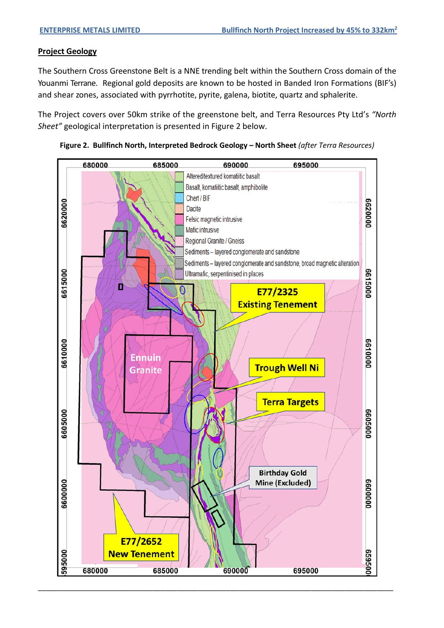#### **Project Geology**

The Southern Cross Greenstone Belt is a NNE trending belt within the Southern Cross domain of the Youanmi Terrane. Regional gold deposits are known to be hosted in Banded Iron Formations (BIF's) and shear zones, associated with pyrrhotite, pyrite, galena, biotite, quartz and sphalerite.

The Project covers over 50km strike of the greenstone belt, and Terra Resources Pty Ltd's *"North Sheet"* geological interpretation is presented in Figure 2 below.



**Figure 2. Bullfinch North, Interpreted Bedrock Geology – North Sheet** *(after Terra Resources)*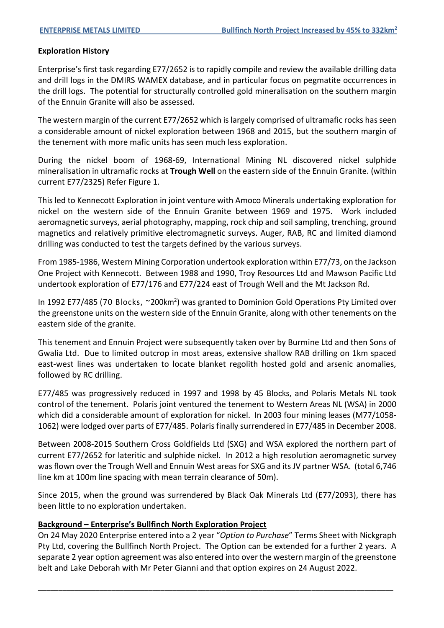#### **Exploration History**

Enterprise's first task regarding E77/2652 is to rapidly compile and review the available drilling data and drill logs in the DMIRS WAMEX database, and in particular focus on pegmatite occurrences in the drill logs. The potential for structurally controlled gold mineralisation on the southern margin of the Ennuin Granite will also be assessed.

The western margin of the current E77/2652 which is largely comprised of ultramafic rocks has seen a considerable amount of nickel exploration between 1968 and 2015, but the southern margin of the tenement with more mafic units has seen much less exploration.

During the nickel boom of 1968-69, International Mining NL discovered nickel sulphide mineralisation in ultramafic rocks at **Trough Well** on the eastern side of the Ennuin Granite. (within current E77/2325) Refer Figure 1.

This led to Kennecott Exploration in joint venture with Amoco Minerals undertaking exploration for nickel on the western side of the Ennuin Granite between 1969 and 1975. Work included aeromagnetic surveys, aerial photography, mapping, rock chip and soil sampling, trenching, ground magnetics and relatively primitive electromagnetic surveys. Auger, RAB, RC and limited diamond drilling was conducted to test the targets defined by the various surveys.

From 1985-1986, Western Mining Corporation undertook exploration within E77/73, on the Jackson One Project with Kennecott. Between 1988 and 1990, Troy Resources Ltd and Mawson Pacific Ltd undertook exploration of E77/176 and E77/224 east of Trough Well and the Mt Jackson Rd.

In 1992 E77/485 (70 Blocks, ~200km<sup>2</sup>) was granted to Dominion Gold Operations Pty Limited over the greenstone units on the western side of the Ennuin Granite, along with other tenements on the eastern side of the granite.

This tenement and Ennuin Project were subsequently taken over by Burmine Ltd and then Sons of Gwalia Ltd. Due to limited outcrop in most areas, extensive shallow RAB drilling on 1km spaced east-west lines was undertaken to locate blanket regolith hosted gold and arsenic anomalies, followed by RC drilling.

E77/485 was progressively reduced in 1997 and 1998 by 45 Blocks, and Polaris Metals NL took control of the tenement. Polaris joint ventured the tenement to Western Areas NL (WSA) in 2000 which did a considerable amount of exploration for nickel. In 2003 four mining leases (M77/1058-1062) were lodged over parts of E77/485. Polaris finally surrendered in E77/485 in December 2008.

Between 2008-2015 Southern Cross Goldfields Ltd (SXG) and WSA explored the northern part of current E77/2652 for lateritic and sulphide nickel. In 2012 a high resolution aeromagnetic survey was flown over the Trough Well and Ennuin West areas for SXG and its JV partner WSA. (total 6,746 line km at 100m line spacing with mean terrain clearance of 50m).

Since 2015, when the ground was surrendered by Black Oak Minerals Ltd (E77/2093), there has been little to no exploration undertaken.

#### **Background – Enterprise's Bullfinch North Exploration Project**

On 24 May 2020 Enterprise entered into a 2 year "*Option to Purchase*" Terms Sheet with Nickgraph Pty Ltd, covering the Bullfinch North Project. The Option can be extended for a further 2 years. A separate 2 year option agreement was also entered into over the western margin of the greenstone belt and Lake Deborah with Mr Peter Gianni and that option expires on 24 August 2022.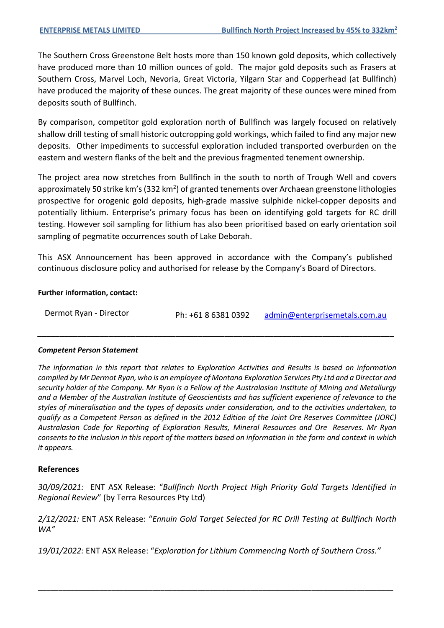The Southern Cross Greenstone Belt hosts more than 150 known gold deposits, which collectively have produced more than 10 million ounces of gold. The major gold deposits such as Frasers at Southern Cross, Marvel Loch, Nevoria, Great Victoria, Yilgarn Star and Copperhead (at Bullfinch) have produced the majority of these ounces. The great majority of these ounces were mined from deposits south of Bullfinch.

By comparison, competitor gold exploration north of Bullfinch was largely focused on relatively shallow drill testing of small historic outcropping gold workings, which failed to find any major new deposits. Other impediments to successful exploration included transported overburden on the eastern and western flanks of the belt and the previous fragmented tenement ownership.

The project area now stretches from Bullfinch in the south to north of Trough Well and covers approximately 50 strike km's (332 km<sup>2</sup>) of granted tenements over Archaean greenstone lithologies prospective for orogenic gold deposits, high-grade massive sulphide nickel-copper deposits and potentially lithium. Enterprise's primary focus has been on identifying gold targets for RC drill testing. However soil sampling for lithium has also been prioritised based on early orientation soil sampling of pegmatite occurrences south of Lake Deborah.

This ASX Announcement has been approved in accordance with the Company's published continuous disclosure policy and authorised for release by the Company's Board of Directors.

#### **Further information, contact:**

| Dermot Ryan - Director | Ph: +61 8 6381 0392 | admin@enterprisemetals.com.au |
|------------------------|---------------------|-------------------------------|
|------------------------|---------------------|-------------------------------|

*\_\_\_\_\_\_\_\_\_\_\_\_\_\_\_\_\_\_\_\_\_\_\_\_\_\_\_\_\_\_\_\_\_\_\_\_\_\_\_\_\_\_\_\_\_\_\_\_\_\_\_\_\_\_\_\_\_\_\_\_\_\_\_\_\_\_\_\_\_\_\_\_\_\_\_\_\_\_\_\_*

#### *Competent Person Statement*

*The information in this report that relates to Exploration Activities and Results is based on information compiled by Mr Dermot Ryan, who is an employee of Montana Exploration Services Pty Ltd and a Director and security holder of the Company. Mr Ryan is a Fellow of the Australasian Institute of Mining and Metallurgy and a Member of the Australian Institute of Geoscientists and has sufficient experience of relevance to the styles of mineralisation and the types of deposits under consideration, and to the activities undertaken, to qualify as a Competent Person as defined in the 2012 Edition of the Joint Ore Reserves Committee (JORC) Australasian Code for Reporting of Exploration Results, Mineral Resources and Ore Reserves. Mr Ryan consents to the inclusion in this report of the matters based on information in the form and context in which it appears.*

#### **References**

*30/09/2021:* ENT ASX Release: "*Bullfinch North Project High Priority Gold Targets Identified in Regional Review*" (by Terra Resources Pty Ltd)

*2/12/2021:* ENT ASX Release: "*Ennuin Gold Target Selected for RC Drill Testing at Bullfinch North WA"*

*19/01/2022:* ENT ASX Release: "*Exploration for Lithium Commencing North of Southern Cross."*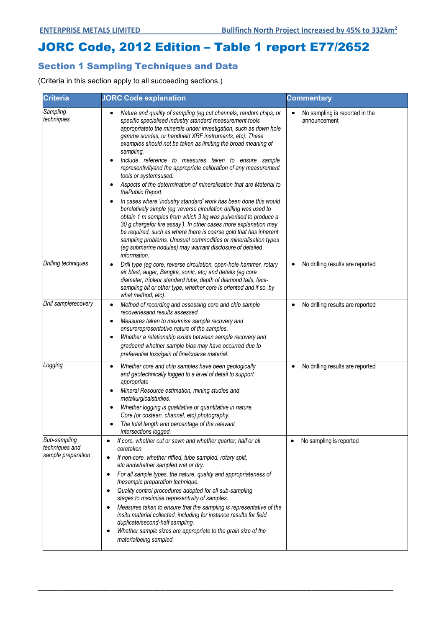# JORC Code, 2012 Edition – Table 1 report E77/2652

## Section 1 Sampling Techniques and Data

(Criteria in this section apply to all succeeding sections.)

| <b>Criteria</b>                                      | <b>JORC Code explanation</b>                                                                                                                                                                                                                                                                                                                                                                                                                                                                                                                                                                                                                                                                                                                                                                                                                                                                                                                                                                                                                                                                   | <b>Commentary</b>                                   |
|------------------------------------------------------|------------------------------------------------------------------------------------------------------------------------------------------------------------------------------------------------------------------------------------------------------------------------------------------------------------------------------------------------------------------------------------------------------------------------------------------------------------------------------------------------------------------------------------------------------------------------------------------------------------------------------------------------------------------------------------------------------------------------------------------------------------------------------------------------------------------------------------------------------------------------------------------------------------------------------------------------------------------------------------------------------------------------------------------------------------------------------------------------|-----------------------------------------------------|
| Sampling<br>techniques                               | Nature and quality of sampling (eg cut channels, random chips, or<br>specific specialised industry standard measurement tools<br>appropriateto the minerals under investigation, such as down hole<br>gamma sondes, or handheld XRF instruments, etc). These<br>examples should not be taken as limiting the broad meaning of<br>sampling.<br>Include reference to measures taken to ensure sample<br>representivityand the appropriate calibration of any measurement<br>tools or systemsused.<br>Aspects of the determination of mineralisation that are Material to<br>thePublic Report.<br>In cases where 'industry standard' work has been done this would<br>berelatively simple (eg 'reverse circulation drilling was used to<br>obtain 1 m samples from which 3 kg was pulverised to produce a<br>30 g chargefor fire assay'). In other cases more explanation may<br>be required, such as where there is coarse gold that has inherent<br>sampling problems. Unusual commodities or mineralisation types<br>(eg submarine nodules) may warrant disclosure of detailed<br>information. | No sampling is reported in the<br>٠<br>announcement |
| Drilling techniques                                  | Drill type (eg core, reverse circulation, open-hole hammer, rotary<br>$\bullet$<br>air blast, auger, Bangka, sonic, etc) and details (eg core<br>diameter, tripleor standard tube, depth of diamond tails, face-<br>sampling bit or other type, whether core is oriented and if so, by<br>what method, etc).                                                                                                                                                                                                                                                                                                                                                                                                                                                                                                                                                                                                                                                                                                                                                                                   | No drilling results are reported<br>٠               |
| Drill samplerecovery                                 | Method of recording and assessing core and chip sample<br>٠<br>recoveriesand results assessed.<br>Measures taken to maximise sample recovery and<br>ensurerepresentative nature of the samples.<br>Whether a relationship exists between sample recovery and<br>gradeand whether sample bias may have occurred due to<br>preferential loss/gain of fine/coarse material.                                                                                                                                                                                                                                                                                                                                                                                                                                                                                                                                                                                                                                                                                                                       | No drilling results are reported<br>٠               |
| Logging                                              | Whether core and chip samples have been geologically<br>٠<br>and geotechnically logged to a level of detail to support<br>appropriate<br>Mineral Resource estimation, mining studies and<br>metallurgicalstudies.<br>Whether logging is qualitative or quantitative in nature.<br>Core (or costean, channel, etc) photography.<br>The total length and percentage of the relevant<br>intersections logged.                                                                                                                                                                                                                                                                                                                                                                                                                                                                                                                                                                                                                                                                                     | No drilling results are reported                    |
| Sub-sampling<br>techniques and<br>sample preparation | If core, whether cut or sawn and whether quarter, half or all<br>$\bullet$<br>coretaken.<br>If non-core, whether riffled, tube sampled, rotary split,<br>$\bullet$<br>etc andwhether sampled wet or dry.<br>For all sample types, the nature, quality and appropriateness of<br>$\bullet$<br>thesample preparation technique.<br>Quality control procedures adopted for all sub-sampling<br>$\bullet$<br>stages to maximise representivity of samples.<br>Measures taken to ensure that the sampling is representative of the<br>$\bullet$<br>insitu material collected, including for instance results for field<br>duplicate/second-half sampling.<br>Whether sample sizes are appropriate to the grain size of the<br>٠<br>materialbeing sampled.                                                                                                                                                                                                                                                                                                                                           | No sampling is reported<br>$\bullet$                |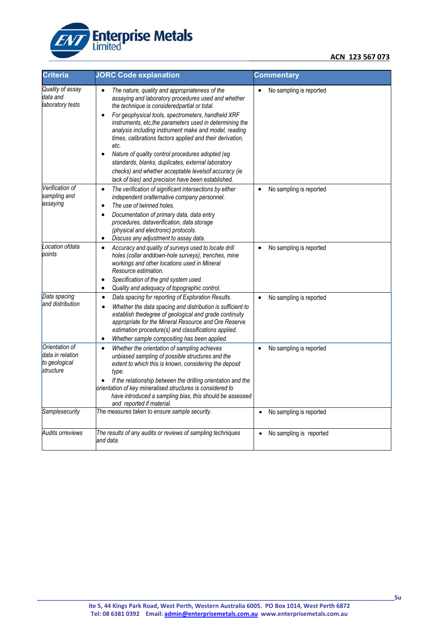

#### **ACN 123 567 073**

| <b>Criteria</b>                                                  | <b>JORC Code explanation</b>                                                                                                                                                                                                                                                                                                                                                                                                                                                                                                                                                                                                  | <b>Commentary</b>                    |
|------------------------------------------------------------------|-------------------------------------------------------------------------------------------------------------------------------------------------------------------------------------------------------------------------------------------------------------------------------------------------------------------------------------------------------------------------------------------------------------------------------------------------------------------------------------------------------------------------------------------------------------------------------------------------------------------------------|--------------------------------------|
| Quality of assay<br>data and<br>laboratory tests                 | The nature, quality and appropriateness of the<br>assaying and laboratory procedures used and whether<br>the technique is consideredpartial or total.<br>For geophysical tools, spectrometers, handheld XRF<br>instruments, etc, the parameters used in determining the<br>analysis including instrument make and model, reading<br>times, calibrations factors applied and their derivation,<br>etc.<br>Nature of quality control procedures adopted (eg<br>standards, blanks, duplicates, external laboratory<br>checks) and whether acceptable levelsof accuracy (ie<br>lack of bias) and precision have been established. | No sampling is reported<br>$\bullet$ |
| Verification of<br>sampling and<br>assaying                      | The verification of significant intersections by either<br>$\bullet$<br>independent oralternative company personnel.<br>The use of twinned holes.<br>$\bullet$<br>Documentation of primary data, data entry<br>$\bullet$<br>procedures, dataverification, data storage<br>(physical and electronic) protocols.<br>Discuss any adjustment to assay data.<br>٠                                                                                                                                                                                                                                                                  | No sampling is reported<br>$\bullet$ |
| Location ofdata<br>points                                        | Accuracy and quality of surveys used to locate drill<br>holes (collar anddown-hole surveys), trenches, mine<br>workings and other locations used in Mineral<br>Resource estimation.<br>Specification of the grid system used.<br>Quality and adequacy of topographic control.<br>٠                                                                                                                                                                                                                                                                                                                                            | No sampling is reported<br>$\bullet$ |
| Data spacing<br>and distribution                                 | Data spacing for reporting of Exploration Results.<br>$\bullet$<br>Whether the data spacing and distribution is sufficient to<br>establish thedegree of geological and grade continuity<br>appropriate for the Mineral Resource and Ore Reserve<br>estimation procedure(s) and classifications applied.<br>Whether sample compositing has been applied.<br>$\bullet$                                                                                                                                                                                                                                                          | No sampling is reported<br>$\bullet$ |
| Orientation of<br>data in relation<br>to geological<br>structure | Whether the orientation of sampling achieves<br>$\bullet$<br>unbiased sampling of possible structures and the<br>extent to which this is known, considering the deposit<br>type.<br>If the relationship between the drilling orientation and the<br>orientation of key mineralised structures is considered to<br>have introduced a sampling bias, this should be assessed<br>and reported if material.                                                                                                                                                                                                                       | No sampling is reported<br>$\bullet$ |
| Samplesecurity                                                   | The measures taken to ensure sample security.                                                                                                                                                                                                                                                                                                                                                                                                                                                                                                                                                                                 | No sampling is reported<br>$\bullet$ |
| <b>Audits orreviews</b>                                          | The results of any audits or reviews of sampling techniques<br>and data.                                                                                                                                                                                                                                                                                                                                                                                                                                                                                                                                                      | No sampling is reported              |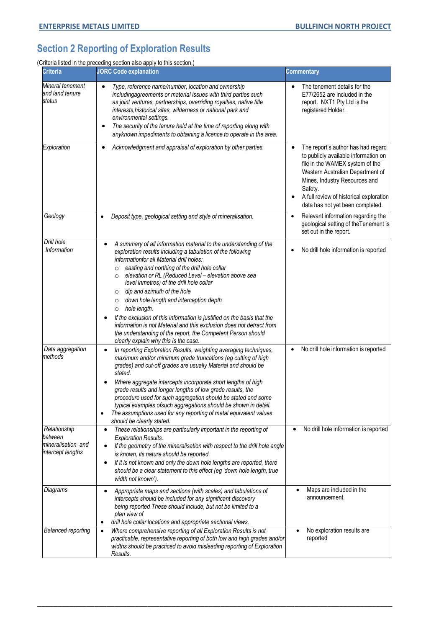## **Section 2 Reporting of Exploration Results**

(Criteria listed in the preceding section also apply to this section.)

| <b>Criteria</b>                                                    | <b>JORC Code explanation</b>                                                                                                                                                                                                                                                                                                                                                                                                                                                                                                                                                                                                                                                                                                                   | <b>Commentary</b>                                                                                                                                                                                                                                                            |
|--------------------------------------------------------------------|------------------------------------------------------------------------------------------------------------------------------------------------------------------------------------------------------------------------------------------------------------------------------------------------------------------------------------------------------------------------------------------------------------------------------------------------------------------------------------------------------------------------------------------------------------------------------------------------------------------------------------------------------------------------------------------------------------------------------------------------|------------------------------------------------------------------------------------------------------------------------------------------------------------------------------------------------------------------------------------------------------------------------------|
| Mineral tenement<br>and land tenure<br>status                      | Type, reference name/number, location and ownership<br>includingagreements or material issues with third parties such<br>as joint ventures, partnerships, overriding royalties, native title<br>interests, historical sites, wilderness or national park and<br>environmental settings.<br>The security of the tenure held at the time of reporting along with<br>٠<br>anyknown impediments to obtaining a licence to operate in the area.                                                                                                                                                                                                                                                                                                     | The tenement details for the<br>E77/2652 are included in the<br>report. NXT1 Pty Ltd is the<br>registered Holder.                                                                                                                                                            |
| Exploration                                                        | Acknowledgment and appraisal of exploration by other parties.<br>٠                                                                                                                                                                                                                                                                                                                                                                                                                                                                                                                                                                                                                                                                             | The report's author has had regard<br>to publicly available information on<br>file in the WAMEX system of the<br>Western Australian Department of<br>Mines, Industry Resources and<br>Safety.<br>A full review of historical exploration<br>data has not yet been completed. |
| Geology                                                            | Deposit type, geological setting and style of mineralisation.<br>$\bullet$                                                                                                                                                                                                                                                                                                                                                                                                                                                                                                                                                                                                                                                                     | Relevant information regarding the<br>$\bullet$<br>geological setting of the Tenement is<br>set out in the report.                                                                                                                                                           |
| Drill hole<br>Information                                          | A summary of all information material to the understanding of the<br>exploration results including a tabulation of the following<br>informationfor all Material drill holes:<br>easting and northing of the drill hole collar<br>$\circ$<br>elevation or RL (Reduced Level - elevation above sea<br>$\circ$<br>level inmetres) of the drill hole collar<br>dip and azimuth of the hole<br>$\circ$<br>down hole length and interception depth<br>$\circ$<br>hole length.<br>$\circ$<br>If the exclusion of this information is justified on the basis that the<br>information is not Material and this exclusion does not detract from<br>the understanding of the report, the Competent Person should<br>clearly explain why this is the case. | No drill hole information is reported                                                                                                                                                                                                                                        |
| Data aggregation<br>methods                                        | In reporting Exploration Results, weighting averaging techniques,<br>maximum and/or minimum grade truncations (eg cutting of high<br>grades) and cut-off grades are usually Material and should be<br>stated.<br>Where aggregate intercepts incorporate short lengths of high<br>grade results and longer lengths of low grade results, the<br>procedure used for such aggregation should be stated and some<br>typical examples ofsuch aggregations should be shown in detail.<br>The assumptions used for any reporting of metal equivalent values<br>should be clearly stated.                                                                                                                                                              | No drill hole information is reported                                                                                                                                                                                                                                        |
| Relationship<br>between<br>mineralisation and<br>intercept lengths | These relationships are particularly important in the reporting of<br>$\bullet$<br><b>Exploration Results.</b><br>If the geometry of the mineralisation with respect to the drill hole angle<br>is known, its nature should be reported.<br>If it is not known and only the down hole lengths are reported, there<br>should be a clear statement to this effect (eg 'down hole length, true<br>width not known').                                                                                                                                                                                                                                                                                                                              | No drill hole information is reported                                                                                                                                                                                                                                        |
| Diagrams                                                           | Appropriate maps and sections (with scales) and tabulations of<br>$\bullet$<br>intercepts should be included for any significant discovery<br>being reported These should include, but not be limited to a<br>plan view of<br>drill hole collar locations and appropriate sectional views.<br>٠                                                                                                                                                                                                                                                                                                                                                                                                                                                | Maps are included in the<br>announcement.                                                                                                                                                                                                                                    |
| <b>Balanced reporting</b>                                          | Where comprehensive reporting of all Exploration Results is not<br>$\bullet$<br>practicable, representative reporting of both low and high grades and/or<br>widths should be practiced to avoid misleading reporting of Exploration<br>Results.                                                                                                                                                                                                                                                                                                                                                                                                                                                                                                | No exploration results are<br>reported                                                                                                                                                                                                                                       |